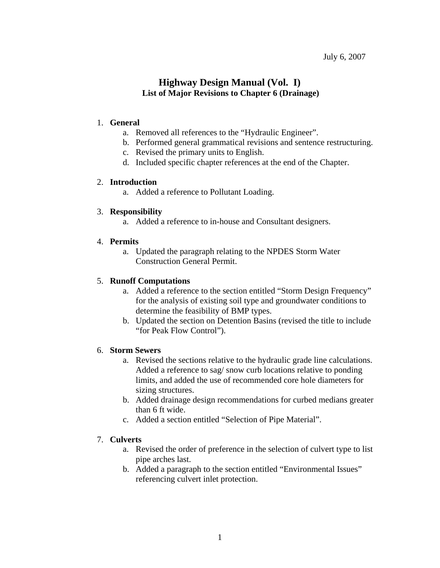# **Highway Design Manual (Vol. I) List of Major Revisions to Chapter 6 (Drainage)**

#### 1. **General**

- a. Removed all references to the "Hydraulic Engineer".
- b. Performed general grammatical revisions and sentence restructuring.
- c. Revised the primary units to English.
- d. Included specific chapter references at the end of the Chapter.

#### 2. **Introduction**

a. Added a reference to Pollutant Loading.

## 3. **Responsibility**

a. Added a reference to in-house and Consultant designers.

## 4. **Permits**

a. Updated the paragraph relating to the NPDES Storm Water Construction General Permit.

## 5. **Runoff Computations**

- a. Added a reference to the section entitled "Storm Design Frequency" for the analysis of existing soil type and groundwater conditions to determine the feasibility of BMP types.
- b. Updated the section on Detention Basins (revised the title to include "for Peak Flow Control").

## 6. **Storm Sewers**

- a. Revised the sections relative to the hydraulic grade line calculations. Added a reference to sag/ snow curb locations relative to ponding limits, and added the use of recommended core hole diameters for sizing structures.
- b. Added drainage design recommendations for curbed medians greater than 6 ft wide.
- c. Added a section entitled "Selection of Pipe Material".

## 7. **Culverts**

- a. Revised the order of preference in the selection of culvert type to list pipe arches last.
- b. Added a paragraph to the section entitled "Environmental Issues" referencing culvert inlet protection.